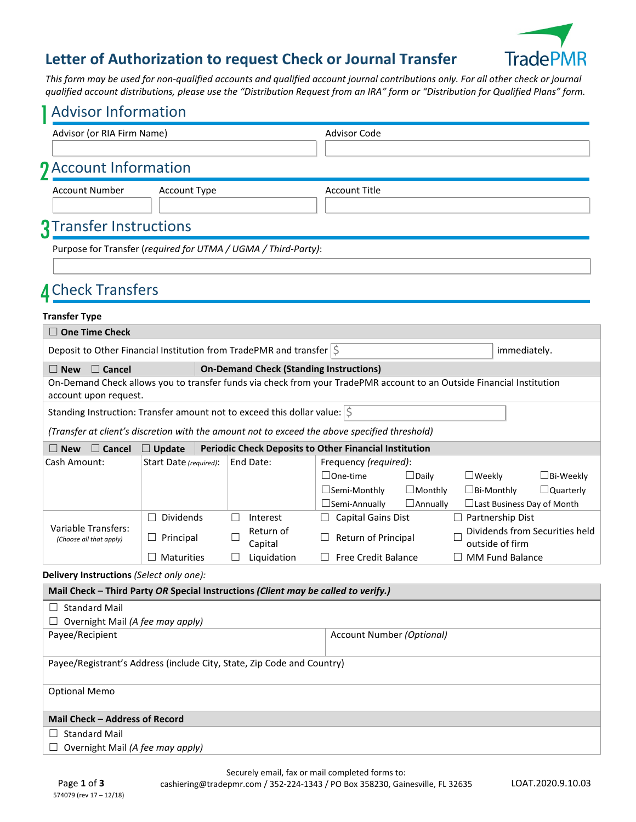# **TradePMR**

#### **Letter of Authorization to request Check or Journal Transfer**

*This form may be used for non-qualified accounts and qualified account journal contributions only. For all other check or journal qualified account distributions, please use the "Distribution Request from an IRA" form or "Distribution for Qualified Plans" form.*

| <b>Advisor Information</b>                                                                 |                        |  |                                                |                                                                                                                                              |  |  |  |  |
|--------------------------------------------------------------------------------------------|------------------------|--|------------------------------------------------|----------------------------------------------------------------------------------------------------------------------------------------------|--|--|--|--|
| Advisor (or RIA Firm Name)                                                                 |                        |  |                                                | <b>Advisor Code</b>                                                                                                                          |  |  |  |  |
|                                                                                            |                        |  |                                                |                                                                                                                                              |  |  |  |  |
| <b>J</b> Account Information                                                               |                        |  |                                                |                                                                                                                                              |  |  |  |  |
| <b>Account Number</b>                                                                      | <b>Account Type</b>    |  |                                                | <b>Account Title</b>                                                                                                                         |  |  |  |  |
|                                                                                            |                        |  |                                                |                                                                                                                                              |  |  |  |  |
| <b>3</b> Transfer Instructions                                                             |                        |  |                                                |                                                                                                                                              |  |  |  |  |
| Purpose for Transfer (required for UTMA / UGMA / Third-Party):                             |                        |  |                                                |                                                                                                                                              |  |  |  |  |
|                                                                                            |                        |  |                                                |                                                                                                                                              |  |  |  |  |
| <b>A</b> Check Transfers                                                                   |                        |  |                                                |                                                                                                                                              |  |  |  |  |
| <b>Transfer Type</b>                                                                       |                        |  |                                                |                                                                                                                                              |  |  |  |  |
| <b>One Time Check</b>                                                                      |                        |  |                                                |                                                                                                                                              |  |  |  |  |
| Deposit to Other Financial Institution from TradePMR and transfer $ \hat{\varsigma} $      |                        |  |                                                | immediately.                                                                                                                                 |  |  |  |  |
| $\square$ Cancel<br>$\Box$ New                                                             |                        |  | <b>On-Demand Check (Standing Instructions)</b> |                                                                                                                                              |  |  |  |  |
|                                                                                            |                        |  |                                                | On-Demand Check allows you to transfer funds via check from your TradePMR account to an Outside Financial Institution                        |  |  |  |  |
| account upon request.                                                                      |                        |  |                                                |                                                                                                                                              |  |  |  |  |
| Standing Instruction: Transfer amount not to exceed this dollar value: $ \hat{\varsigma} $ |                        |  |                                                |                                                                                                                                              |  |  |  |  |
|                                                                                            |                        |  |                                                | (Transfer at client's discretion with the amount not to exceed the above specified threshold)                                                |  |  |  |  |
| $\Box$ Cancel<br>$\Box$ New                                                                | $\Box$ Update          |  |                                                | <b>Periodic Check Deposits to Other Financial Institution</b>                                                                                |  |  |  |  |
| Cash Amount:                                                                               | Start Date (required): |  | End Date:                                      | Frequency (required):<br>$\Box$ One-time                                                                                                     |  |  |  |  |
|                                                                                            |                        |  |                                                | $\Box$ Daily<br>$\square$ Weekly<br>$\square$ Bi-Weekly<br>$\Box$ Semi-Monthly<br>$\Box$ Monthly<br>$\square$ Bi-Monthly<br>$\Box$ Quarterly |  |  |  |  |
|                                                                                            |                        |  |                                                | □Semi-Annually<br>$\Box$ Annually<br>□ Last Business Day of Month                                                                            |  |  |  |  |
|                                                                                            | $\Box$ Dividends       |  | Interest                                       | <b>Capital Gains Dist</b><br>$\Box$ Partnership Dist                                                                                         |  |  |  |  |
| Variable Transfers:<br>(Choose all that apply)                                             | $\Box$ Principal       |  | Return of                                      | Dividends from Securities held<br>Return of Principal                                                                                        |  |  |  |  |
|                                                                                            | Maturities             |  | Capital<br>Liquidation                         | outside of firm<br><b>Free Credit Balance</b><br><b>MM Fund Balance</b>                                                                      |  |  |  |  |
| Delivery Instructions (Select only one):                                                   |                        |  |                                                |                                                                                                                                              |  |  |  |  |
| Mail Check - Third Party OR Special Instructions (Client may be called to verify.)         |                        |  |                                                |                                                                                                                                              |  |  |  |  |
| <b>Standard Mail</b>                                                                       |                        |  |                                                |                                                                                                                                              |  |  |  |  |
| Overnight Mail (A fee may apply)                                                           |                        |  |                                                |                                                                                                                                              |  |  |  |  |
| Payee/Recipient                                                                            |                        |  |                                                | Account Number (Optional)                                                                                                                    |  |  |  |  |
| Payee/Registrant's Address (include City, State, Zip Code and Country)                     |                        |  |                                                |                                                                                                                                              |  |  |  |  |
|                                                                                            |                        |  |                                                |                                                                                                                                              |  |  |  |  |
| <b>Optional Memo</b>                                                                       |                        |  |                                                |                                                                                                                                              |  |  |  |  |
| Mail Check - Address of Record                                                             |                        |  |                                                |                                                                                                                                              |  |  |  |  |
| <b>Standard Mail</b>                                                                       |                        |  |                                                |                                                                                                                                              |  |  |  |  |
| Overnight Mail (A fee may apply)                                                           |                        |  |                                                |                                                                                                                                              |  |  |  |  |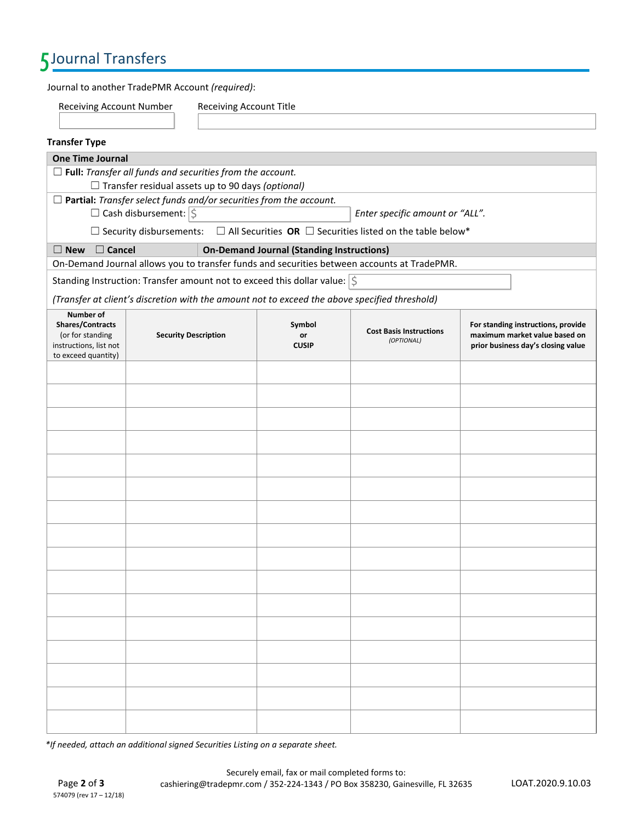# 5Journal Transfers

Journal to another TradePMR Account *(required)*:

Receiving Account Number Receiving Account Title

| <b>Transfer Type</b>                                                                                                              |                                                          |                                                                                               |                                                                                                      |                                                                                                           |
|-----------------------------------------------------------------------------------------------------------------------------------|----------------------------------------------------------|-----------------------------------------------------------------------------------------------|------------------------------------------------------------------------------------------------------|-----------------------------------------------------------------------------------------------------------|
| <b>One Time Journal</b>                                                                                                           |                                                          |                                                                                               |                                                                                                      |                                                                                                           |
| $\Box$ Full: Transfer all funds and securities from the account.                                                                  | $\Box$ Transfer residual assets up to 90 days (optional) |                                                                                               |                                                                                                      |                                                                                                           |
|                                                                                                                                   |                                                          | $\Box$ Partial: Transfer select funds and/or securities from the account.                     |                                                                                                      |                                                                                                           |
|                                                                                                                                   | $\Box$ Cash disbursement: $ \xi$                         |                                                                                               | Enter specific amount or "ALL".                                                                      |                                                                                                           |
|                                                                                                                                   |                                                          |                                                                                               | $\Box$ Security disbursements: $\Box$ All Securities OR $\Box$ Securities listed on the table below* |                                                                                                           |
| $\Box$ Cancel<br>$\square$ New                                                                                                    |                                                          | <b>On-Demand Journal (Standing Instructions)</b>                                              |                                                                                                      |                                                                                                           |
|                                                                                                                                   |                                                          |                                                                                               | On-Demand Journal allows you to transfer funds and securities between accounts at TradePMR.          |                                                                                                           |
|                                                                                                                                   |                                                          | Standing Instruction: Transfer amount not to exceed this dollar value: $ \zeta$               |                                                                                                      |                                                                                                           |
|                                                                                                                                   |                                                          | (Transfer at client's discretion with the amount not to exceed the above specified threshold) |                                                                                                      |                                                                                                           |
| Number of<br>Shares/Contracts<br>(or for standing<br><b>Security Description</b><br>instructions, list not<br>to exceed quantity) |                                                          | Symbol<br>or<br><b>CUSIP</b>                                                                  | <b>Cost Basis Instructions</b><br>(OPTIONAL)                                                         | For standing instructions, provide<br>maximum market value based on<br>prior business day's closing value |
|                                                                                                                                   |                                                          |                                                                                               |                                                                                                      |                                                                                                           |
|                                                                                                                                   |                                                          |                                                                                               |                                                                                                      |                                                                                                           |
|                                                                                                                                   |                                                          |                                                                                               |                                                                                                      |                                                                                                           |
|                                                                                                                                   |                                                          |                                                                                               |                                                                                                      |                                                                                                           |
|                                                                                                                                   |                                                          |                                                                                               |                                                                                                      |                                                                                                           |
|                                                                                                                                   |                                                          |                                                                                               |                                                                                                      |                                                                                                           |
|                                                                                                                                   |                                                          |                                                                                               |                                                                                                      |                                                                                                           |
|                                                                                                                                   |                                                          |                                                                                               |                                                                                                      |                                                                                                           |
|                                                                                                                                   |                                                          |                                                                                               |                                                                                                      |                                                                                                           |
|                                                                                                                                   |                                                          |                                                                                               |                                                                                                      |                                                                                                           |
|                                                                                                                                   |                                                          |                                                                                               |                                                                                                      |                                                                                                           |
|                                                                                                                                   |                                                          |                                                                                               |                                                                                                      |                                                                                                           |
|                                                                                                                                   |                                                          |                                                                                               |                                                                                                      |                                                                                                           |
|                                                                                                                                   |                                                          |                                                                                               |                                                                                                      |                                                                                                           |
|                                                                                                                                   |                                                          |                                                                                               |                                                                                                      |                                                                                                           |
|                                                                                                                                   |                                                          |                                                                                               |                                                                                                      |                                                                                                           |

*\*If needed, attach an additional signed Securities Listing on a separate sheet.*